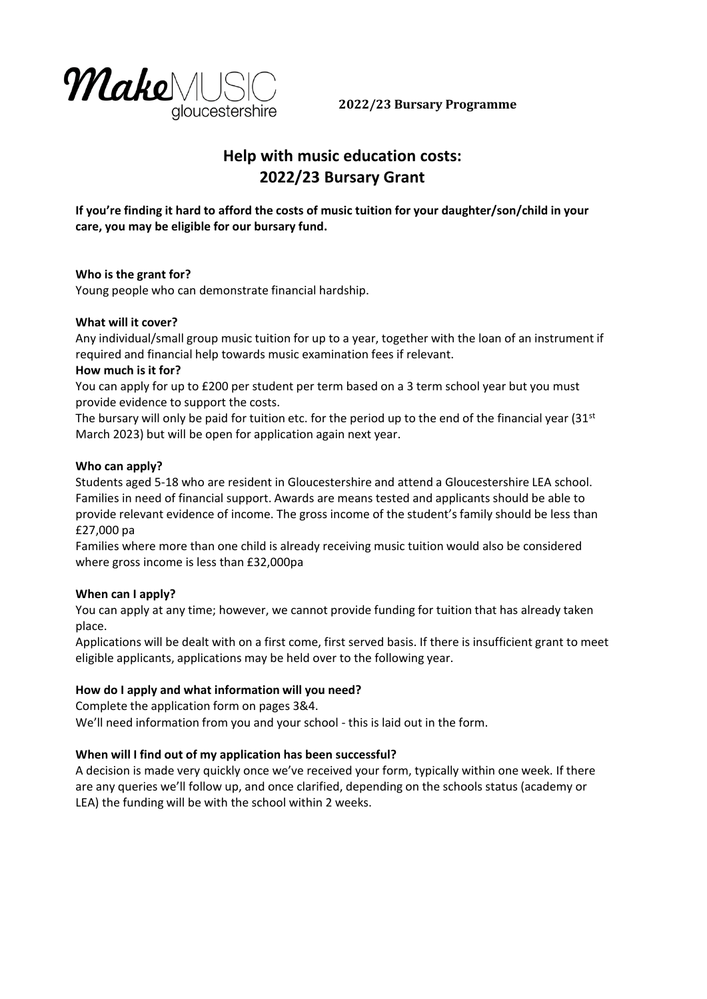

**2022/23 Bursary Programme**

# **Help with music education costs: 2022/23 Bursary Grant**

**If you're finding it hard to afford the costs of music tuition for your daughter/son/child in your care, you may be eligible for our bursary fund.**

## **Who is the grant for?**

Young people who can demonstrate financial hardship.

## **What will it cover?**

Any individual/small group music tuition for up to a year, together with the loan of an instrument if required and financial help towards music examination fees if relevant.

## **How much is it for?**

You can apply for up to £200 per student per term based on a 3 term school year but you must provide evidence to support the costs.

The bursary will only be paid for tuition etc. for the period up to the end of the financial year  $(31^{st}$ March 2023) but will be open for application again next year.

## **Who can apply?**

Students aged 5-18 who are resident in Gloucestershire and attend a Gloucestershire LEA school. Families in need of financial support. Awards are means tested and applicants should be able to provide relevant evidence of income. The gross income of the student's family should be less than £27,000 pa

Families where more than one child is already receiving music tuition would also be considered where gross income is less than £32,000pa

# **When can I apply?**

You can apply at any time; however, we cannot provide funding for tuition that has already taken place.

Applications will be dealt with on a first come, first served basis. If there is insufficient grant to meet eligible applicants, applications may be held over to the following year.

# **How do I apply and what information will you need?**

Complete the application form on pages 3&4. We'll need information from you and your school - this is laid out in the form.

# **When will I find out of my application has been successful?**

A decision is made very quickly once we've received your form, typically within one week. If there are any queries we'll follow up, and once clarified, depending on the schools status (academy or LEA) the funding will be with the school within 2 weeks.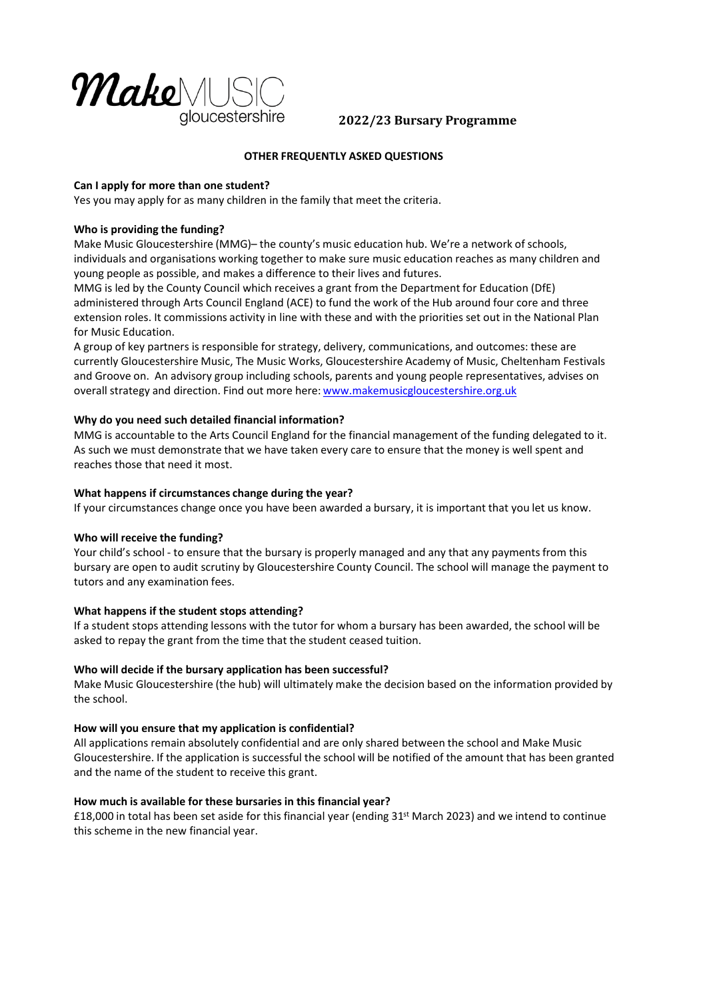

# **2022/23 Bursary Programme**

## **OTHER FREQUENTLY ASKED QUESTIONS**

## **Can I apply for more than one student?**

Yes you may apply for as many children in the family that meet the criteria.

## **Who is providing the funding?**

Make Music Gloucestershire (MMG)– the county's music education hub. We're a network of schools, individuals and organisations working together to make sure music education reaches as many children and young people as possible, and makes a difference to their lives and futures.

MMG is led by the County Council which receives a grant from the Department for Education (DfE) administered through Arts Council England (ACE) to fund the work of the Hub around four core and three extension roles. It commissions activity in line with these and with the priorities set out in the National Plan for Music Education.

A group of key partners is responsible for strategy, delivery, communications, and outcomes: these are currently Gloucestershire Music, The Music Works, Gloucestershire Academy of Music, Cheltenham Festivals and Groove on. An advisory group including schools, parents and young people representatives, advises on overall strategy and direction. Find out more here: www.makemusicgloucestershire.org.uk

## **Why do you need such detailed financial information?**

MMG is accountable to the Arts Council England for the financial management of the funding delegated to it. As such we must demonstrate that we have taken every care to ensure that the money is well spent and reaches those that need it most.

#### **What happens if circumstances change during the year?**

If your circumstances change once you have been awarded a bursary, it is important that you let us know.

#### **Who will receive the funding?**

Your child's school - to ensure that the bursary is properly managed and any that any payments from this bursary are open to audit scrutiny by Gloucestershire County Council. The school will manage the payment to tutors and any examination fees.

## **What happens if the student stops attending?**

If a student stops attending lessons with the tutor for whom a bursary has been awarded, the school will be asked to repay the grant from the time that the student ceased tuition.

#### **Who will decide if the bursary application has been successful?**

Make Music Gloucestershire (the hub) will ultimately make the decision based on the information provided by the school.

#### **How will you ensure that my application is confidential?**

All applications remain absolutely confidential and are only shared between the school and Make Music Gloucestershire. If the application is successful the school will be notified of the amount that has been granted and the name of the student to receive this grant.

#### **How much is available for these bursaries in this financial year?**

£18,000 in total has been set aside for this financial year (ending 31st March 2023) and we intend to continue this scheme in the new financial year.